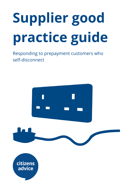# Supplier good practice guide

Responding to prepayment customers who self-disconnect





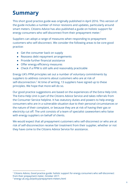## Summary

This short good practice guide was originally published in April 2016. This version of the guide includes a number of minor revisions and updates, particularly around smart meters. Citizens Advice has also published a guide on holistic support for energy consumers who self-disconnect from their prepayment meter.<sup>1</sup>

Suppliers can adopt a range of measures when responding to prepayment customers who self-disconnect. We consider the following areas to be core good practice:

- Get the consumer back on supply
- Reassess debt repayment arrangements
- Provide further financial assistance
- Offer energy efficiency measures
- Check if a PPM is still safe and reasonably practicable

Energy UK's PPM principles set out a number of voluntary commitments by suppliers to address concerns about customers who are at risk of self-disconnection.<sup>2</sup> At time of writing, 13 suppliers have signed up to these principles. We hope that more will do so.

Our good practice suggestions are based on the experiences of the Extra Help Unit. The Extra Help Unit is part of the Citizens Advice Service and takes referrals from the Consumer Service helpline. It has statutory duties and powers to help energy consumers who are in a vulnerable situation due to their personal circumstances or the nature of their complaint, or because they are at risk of having their gas or electricity cut off. The unit consists of a team of specialist caseworkers who liaise with energy suppliers on behalf of clients.

We would expect that all prepayment customers who self-disconnect or who are at risk of self-disconnection receive fair treatment from their supplier, whether or not they have come to the Citizens Advice Service for assistance.

<sup>&</sup>lt;sup>1</sup> Citizens Advice, Good practice guide: holistic support for energy consumers who self-disconnect from their prepayment meter, October 2017.

<sup>2</sup> energy-uk.org.uk/policy/prepayment-meters.html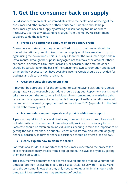## 1. Get the consumer back on supply

Self-disconnection presents an immediate risk to the health and wellbeing of the consumer and other members of their household. Suppliers should help consumers get back on supply by offering a discretionary top up or, where necessary, clearing any outstanding charges from the meter. We recommend suppliers to do the following.

#### ● Provide an appropriate amount of discretionary credit

Consumers who state that they cannot afford to top up their meter should be offered discretionary credit to keep them on supply until they are able to top up again using their own funds. This is usually a loan that the consumer pays back in installments, although the supplier may agree not to recover the amount if there are particular concerns around vulnerability or hardship. The amount loaned should be calculated on the basis of the consumer's own consumption and based on when they expect to next have available income. Credit should be provided for both gas and electricity, where relevant.

#### ● Arrange a suitable repayment plan

It may not be appropriate for the consumer to start repaying discretionary credit straightaway, so a reasonable start date should be agreed. Repayment plans should take into account the consumer's individual circumstances and any existing debt repayment arrangements. If a consumer is in receipt of welfare benefits, we would recommend total weekly repayments of no more than £3.70 (equivalent to the Fuel Direct debt recovery rate).

#### ● Accommodate repeat requests and provide additional support

A person may fall into financial difficulty any number of times, so suppliers should not arbitrarily cap the number of times they will provide a discretionary top up. Each case should be taken on an individual basis bearing in mind the importance of getting the consumer back on supply. Repeat requests may also indicate ongoing financial hardship, so further financial assistance should be offered (see below).

#### ● Clearly explain how to claim the credit

For traditional PPMs, it is important that consumers understand the process for collecting discretionary credits from a top up outlet. This avoids any delay getting them back on supply.

The consumer will sometimes need to visit several outlets or top up a number of times before they receive the credit. This is a particular issue with RTI tags. Make sure the consumer knows that they only need to top up a minimal amount each time, e.g. £1, otherwise they may end up out of pocket.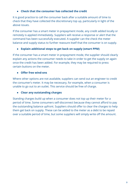#### ● Check that the consumer has collected the credit

It is good practice to call the consumer back after a suitable amount of time to check that they have collected the discretionary top up, particularly in light of the above issues.

If the consumer has a smart meter in prepayment mode, any credit added locally or remotely is applied immediately. Suppliers will receive a response or alert that the command has been successfully executed. A supplier can the check the meter balance and supply status to further reassure itself that the consumer is on supply.

#### ● Explain additional steps to get back on supply (smart PPM)

If the consumer has a smart meter in prepayment mode, the supplier should clearly explain any actions the consumer needs to take in order to get the supply on again once the credit has been added. For example, they may be required to press certain buttons on the meter.

#### ● Offer free wind-ons

Where other options are not available, suppliers can send out an engineer to credit the consumer's meter. It may be necessary, for example, when a consumer is unable to go out to an outlet. This service should be free of charge.

#### ● Clear any outstanding charges

Standing charges build up when a consumer does not top up their meter for a period of time. Some consumers self-disconnect because they cannot afford to pay the outstanding balance upfront. Suppliers should offer to clear the charges to help them get back on supply. These can be added to the meter as a debt to be repaid over a suitable period of time, but some suppliers will simply write off the amount.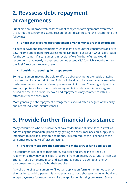## 2. Reassess debt repayment arrangements

Suppliers should proactively reassess debt repayment arrangements even when this is not the consumer's stated reason for self-disconnecting. We recommend the following:

#### ● Check that existing debt repayment arrangements are still affordable

All debt repayment arrangements must take into account the consumer's ability to pay. Income and expenditure assessments can help to ascertain what is affordable for the consumer. If a consumer is in receipt of welfare benefits, we would recommend that weekly repayments do not exceed £3.70, which is equivalent to the Fuel Direct debt recovery rate.

#### ● Consider suspending debt repayments

Some consumers may not be able to afford debt repayments alongside ongoing consumption for a period of time. This could be due to increased energy usage in colder weather or because of a temporary drop in income. Current good practice among suppliers is to suspend debt repayments in such cases. After an agreed period of time, the debt is reviewed and repayments may commence if this is affordable for the consumer.

More generally, debt repayment arrangements should offer a degree of flexibility and reflect individual circumstances.

## 3. Provide further financial assistance

Many consumers who self-disconnect have wider financial difficulties. As well as addressing the immediate problem by getting the consumer back on supply, it is important to look at sustainable solutions. This can reduce the likelihood of the consumer repeatedly self-disconnecting.

#### ● Proactively support the consumer to make a trust fund application

If a consumer is in debt to their energy supplier and struggling to keep up repayments, they may be eligible for a grant from an energy trust fund. British Gas Energy Trust, EDF Energy Trust and E.on Energy Fund are open to all energy consumers, regardless of who their supplier is.

As well as helping consumers to fill out an application form (either in-house or by signposting to a third party), it is good practice to put debt repayments on hold and accept payments for usage-only while the application is being processed. Some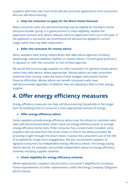suppliers with their own trust funds will also prioritise applications from consumers who are self-disconnecting.

#### ● Help the consumer to apply for the Warm Home Discount

Many consumers who are self-disconnecting may be eligible for the Warm Home Discount broader group. It is good practice to check eligibility, explain the application process and, where relevant, send an application form out in the post. If the applicant is successful, we recommend the discount be applied to current usage rather than any debt repayments.

#### • Refer the consumer for money advice

Many suppliers have strong relationships with debt advice agencies including Stepchange, National Debtline, PayPlan or Citizens Advice. Current good practice is to signpost or refer the consumer to one of these agencies.

We would like to encourage suppliers to refer consumers for general money advice, rather than debt advice, where appropriate. Money advice can help consumers maximise their income, make the most of their budgets and prevent further financial difficulties. Money advice can benefit consumers who have self-disconnected regardless of whether they are repaying a debt to their energy supplier.

## 4. Offer energy efficiency measures

Energy efficiency measures can help self-disconnecting households in the longer term by enabling them to consume a more appropriate amount of energy.

#### • Offer energy efficiency advice

Some suppliers provide energy efficiency advice over the phone to customers who have self-disconnected whilst others send out energy efficiency packs or arrange energy efficiency home visits. If the consumer has a smart meter installed, some suppliers will use data from the smart meter to inform the advice provided. By providing insight through the smart meter, it assists the consumer's use of the IHD (if accepted) for longer-term engagement. We also recommend suppliers to signpost consumers for independent energy efficiency advice. The Energy Saving Advice Service, for example, can provide independent advice on energy efficiency schemes including supplier schemes.

#### ● Check eligibility for energy efficiency schemes

Where appropriate, suppliers should check a consumer's eligibility for insulation, home improvements or boiler replacements under the Energy Company Obligation (ECO) scheme.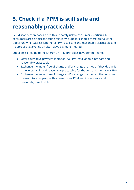## 5. Check if a PPM is still safe and reasonably practicable

Self-disconnection poses a health and safety risk to consumers, particularly if consumers are self-disconnecting regularly. Suppliers should therefore take the opportunity to reassess whether a PPM is still safe and reasonably practicable and, if appropriate, arrange an alternative payment method.

Suppliers signed up to the Energy UK PPM principles have committed to:

- Offer alternative payment methods if a PPM installation is not safe and reasonably practicable
- Exchange the meter free of charge and/or change the mode if they decide it is no longer safe and reasonably practicable for the consumer to have a PPM
- Exchange the meter free of charge and/or change the mode if the consumer moves into a property with a pre-existing PPM and it is not safe and reasonably practicable